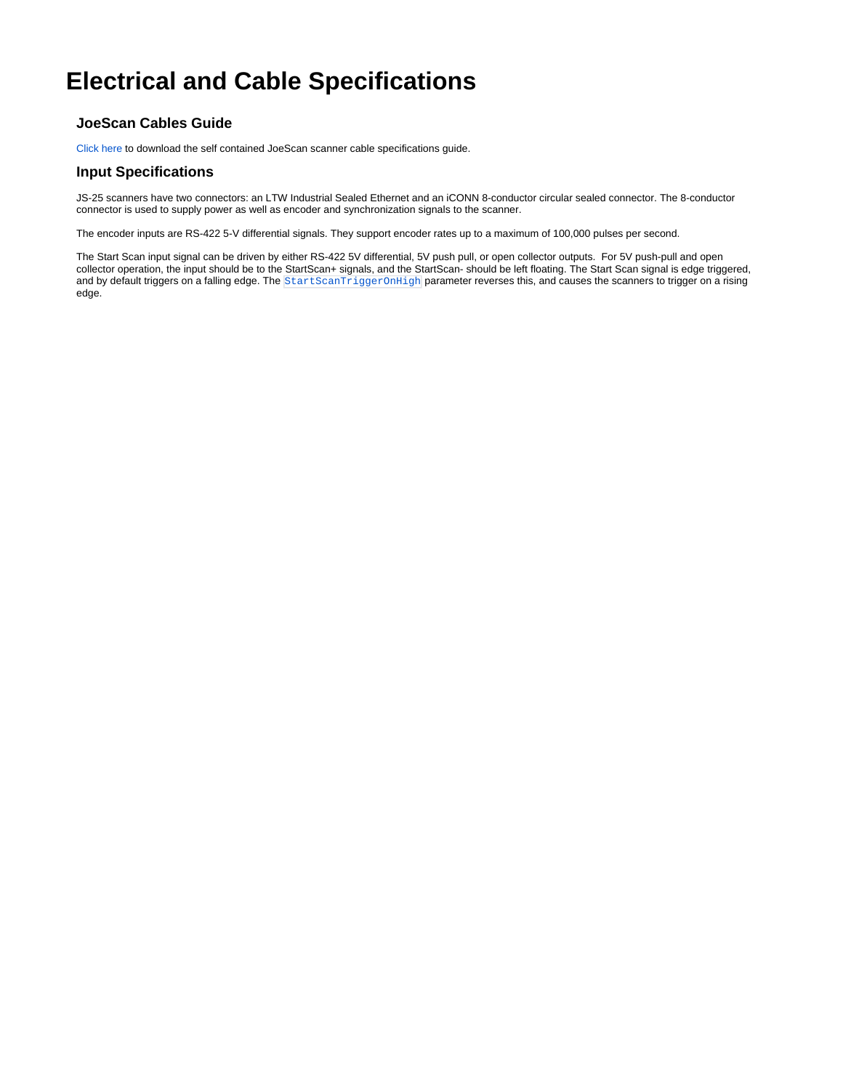## **Electrical and Cable Specifications**

## **JoeScan Cables Guide**

[Click here](http://help.joescan.com/download/attachments/360455/Cables_Spec_Sheet.pdf?version=2&modificationDate=1424701876050&api=v2) to download the self contained JoeScan scanner cable specifications guide.

## **Input Specifications**

JS-25 scanners have two connectors: an LTW Industrial Sealed Ethernet and an iCONN 8-conductor circular sealed connector. The 8-conductor connector is used to supply power as well as encoder and synchronization signals to the scanner.

The encoder inputs are RS-422 5-V differential signals. They support encoder rates up to a maximum of 100,000 pulses per second.

The Start Scan input signal can be driven by either RS-422 5V differential, 5V push pull, or open collector outputs. For 5V push-pull and open collector operation, the input should be to the StartScan+ signals, and the StartScan- should be left floating. The Start Scan signal is edge triggered, and by default triggers on a falling edge. The [StartScanTriggerOnHigh](http://confluence/display/ds/Encoder+and+Time+Synchronized+Scanning+Parameters) parameter reverses this, and causes the scanners to trigger on a rising edge.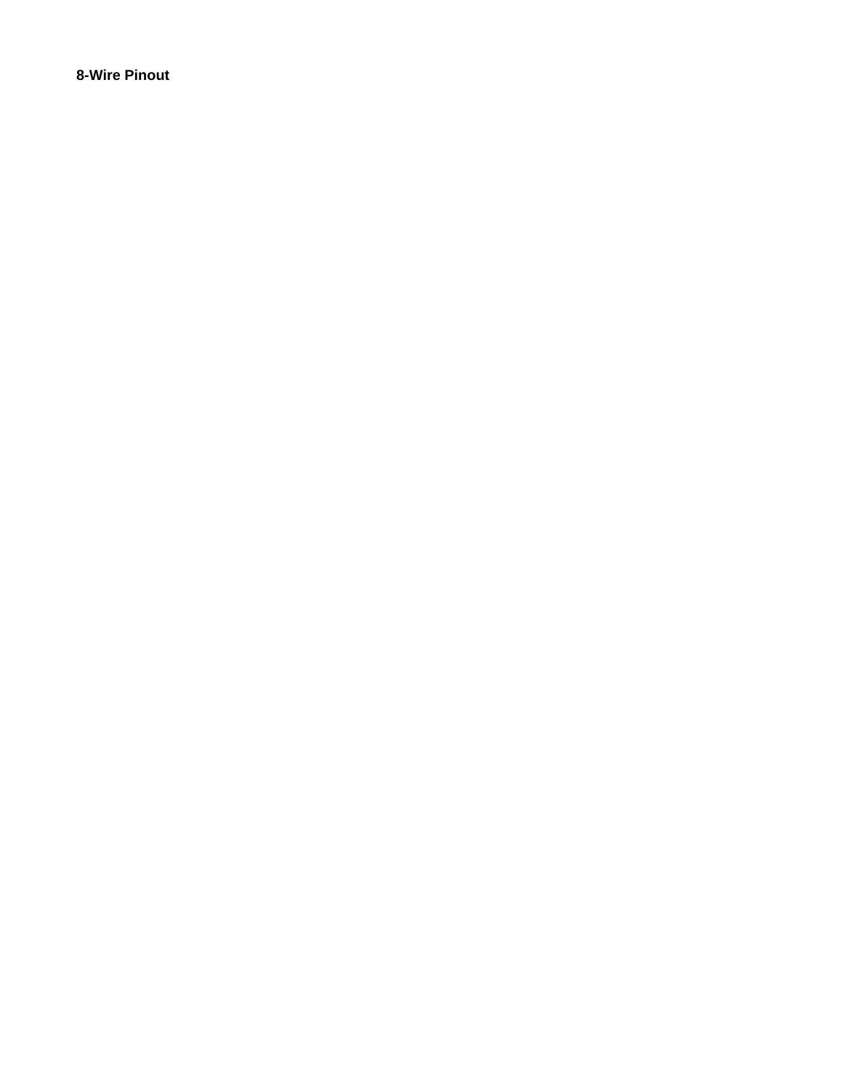8-Wire Pinout